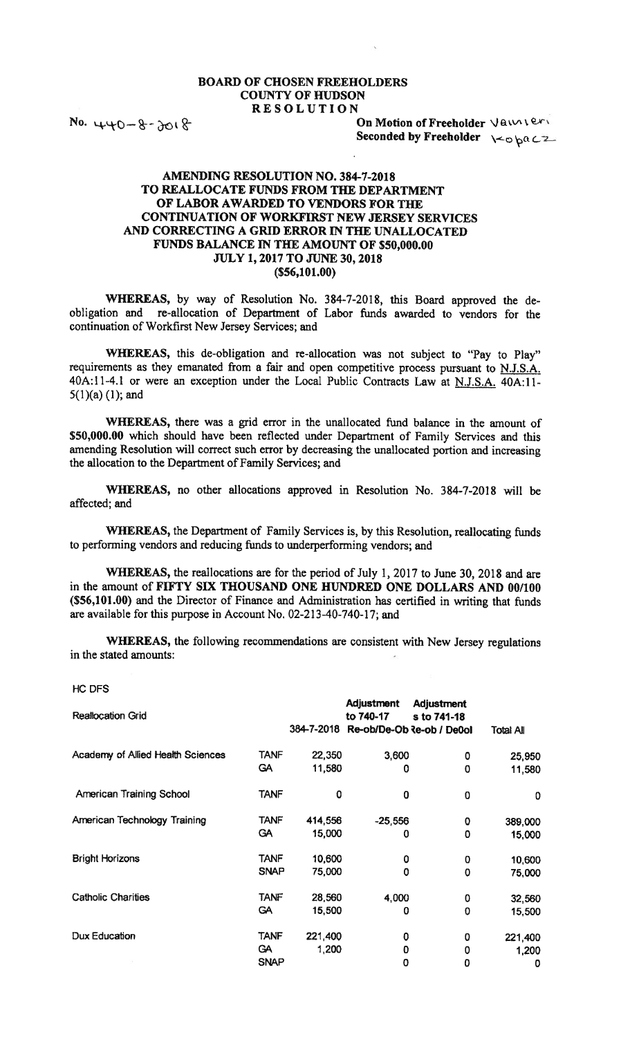## BOARD OF CHOSEN FREEHOLDERS **COUNTY OF HUDSON**

 $No. 440 - 8 - 3018$ 

RESOLUTION<br>On Motion of Freeholder Vauxiers Seconded by Freeholder  $\searrow$ 

## AMENDING RESOLUTION NO. 384-7-2018 TO REALLOCATE FUNDS FROM THE DEPARTMENT OF LABOR AWARDED TO VENDORS FOR TIlE CONTiNUATION OF WORKFIRST NEW JERSEY SERVICES AND CORRECTING A GRID ERROR IN THE UNALLOCATED FUNDS BALANCE IN THE AMOUNT OF \$50,000.00 JULY 1, 2017 TO JUNE 30, 2018 (\$56,191.00)

WHEREAS, by way of Resolution No. 384-7-2018, this Board approved the de obligation and re-allocation of Department of Labor funds awarded to vendors for the continuation of Workfirst New Jersey Services; and

WHEREAS, this de-obligation and re-allocation was not subject to "Pay to Play" requirements as they emanated from a fair and open competitive process pursuant to N.J.S.A. 40A:l1-4.l or were an exception under the Local Public Contracts Law at N.J.S.A. 40A:ll-5(l)(a) (1); and

WHEREAS, there was a grid error in the unallocated fund balance in the amount of \$50,000.00 which should have been reflected under Department of Family Services and this amending Resolution will correct such error by decreasing the unallocated portion and increasing the allocation to the Department of Family Services; and

WHEREAS, no other allocations approved in Resolution No. 384-7-2018 will be affected; and

WHEREAS, the Department of Family Services is, by this Resolution, reallocating funds to performing vendors and reducing funds to underperforming vendors; and

WflEREAS, the reallocations are for the period of July 1, 2017 to June 30, 2018 and are in the amount of FIFTY SIX THOUSAND ONE HUNDRED ONE DOLLARS AND 00/100 (\$56,101.00) and the Director of Finance and Administration has certified in writing that funds are available for this purpose in Account No. 02-213-40-740-17; and

WHEREAS, the following recommendations are consistent with New Jersey regulations in the stated amounts:

HC DFS

| <b>Reallocation Grid</b>          |             | 384-7-2018 | <b>Adjustment</b><br>to 740-17<br>Re-ob/De-Ob Re-ob / De0ol | Adjustment<br>s to 741-18 | <b>Total All</b> |
|-----------------------------------|-------------|------------|-------------------------------------------------------------|---------------------------|------------------|
| Academy of Allied Health Sciences | <b>TANF</b> | 22,350     | 3,600                                                       | 0                         | 25,950           |
|                                   | <b>GA</b>   | 11,580     | 0                                                           | 0                         | 11,580           |
| <b>American Training School</b>   | <b>TANF</b> | 0          | 0                                                           | 0                         | 0                |
| American Technology Training      | TANF        | 414,556    | $-25,556$                                                   | 0                         | 389,000          |
|                                   | <b>GA</b>   | 15,000     | 0                                                           | $\mathbf 0$               | 15,000           |
| <b>Bright Horizons</b>            | <b>TANF</b> | 10,600     | 0                                                           | 0                         | 10,600           |
|                                   | <b>SNAP</b> | 75,000     | $\mathbf 0$                                                 | $\mathbf 0$               | 75,000           |
| <b>Catholic Charities</b>         | <b>TANF</b> | 28,560     | 4,000                                                       | 0                         | 32,560           |
|                                   | <b>GA</b>   | 15,500     | 0                                                           | $\mathbf 0$               | 15,500           |
| Dux Education                     | TANF        | 221,400    | 0                                                           | 0                         | 221,400          |
|                                   | GA.         | 1,200      | 0                                                           | 0                         | 1,200            |
|                                   | <b>SNAP</b> |            | O                                                           | 0                         | 0                |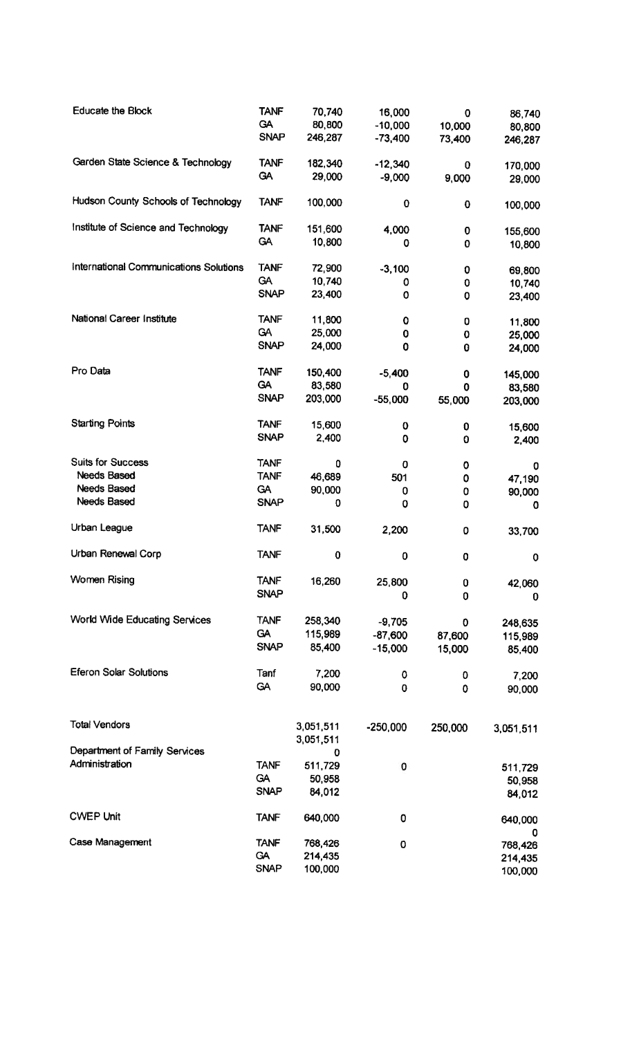| <b>Educate the Block</b>               | <b>TANF</b><br>GA | 70,740<br>80,800 | 16,000<br>$-10,000$ | $\mathbf 0$<br>10,000 | 86,740<br>80,800 |
|----------------------------------------|-------------------|------------------|---------------------|-----------------------|------------------|
|                                        | <b>SNAP</b>       | 246,287          | $-73,400$           | 73,400                | 246,287          |
| Garden State Science & Technology      | <b>TANF</b>       | 182,340          | $-12,340$           | 0                     | 170,000          |
|                                        | GA                | 29,000           | $-9,000$            | 9,000                 | 29,000           |
| Hudson County Schools of Technology    | <b>TANF</b>       | 100,000          | $\mathbf 0$         | 0                     | 100,000          |
| Institute of Science and Technology    | <b>TANF</b>       | 151,600          | 4,000               | 0                     | 155,600          |
|                                        | <b>GA</b>         | 10,800           | 0                   | 0                     | 10,800           |
| International Communications Solutions | <b>TANF</b>       | 72,900           | $-3,100$            | 0                     | 69,800           |
|                                        | <b>GA</b>         | 10,740           | 0                   | $\mathbf 0$           | 10,740           |
|                                        | <b>SNAP</b>       | 23,400           | O                   | 0                     | 23,400           |
| National Career Institute              | <b>TANF</b>       | 11,800           | 0                   | 0                     | 11,800           |
|                                        | <b>GA</b>         | 25,000           | 0                   | 0                     | 25,000           |
|                                        | <b>SNAP</b>       | 24,000           | 0                   | 0                     | 24,000           |
| Pro Data                               | <b>TANF</b>       | 150,400          | $-5,400$            | 0                     | 145,000          |
|                                        | <b>GA</b>         | 83,580           | 0                   | $\mathbf 0$           | 83,580           |
|                                        | <b>SNAP</b>       | 203,000          | $-55,000$           | 55,000                | 203,000          |
| <b>Starting Points</b>                 | <b>TANF</b>       | 15,600           | 0                   | 0                     | 15,600           |
|                                        | <b>SNAP</b>       | 2,400            | 0                   | 0                     | 2,400            |
| <b>Suits for Success</b>               | <b>TANF</b>       | 0                | 0                   | 0                     | 0                |
| <b>Needs Based</b>                     | <b>TANF</b>       | 46,689           | 501                 | 0                     | 47,190           |
| <b>Needs Based</b>                     | <b>GA</b>         | 90,000           | 0                   | 0                     | 90,000           |
| <b>Needs Based</b>                     | <b>SNAP</b>       | 0                | 0                   | 0                     | O                |
| Urban League                           | <b>TANF</b>       | 31,500           | 2,200               | 0                     | 33,700           |
| Urban Renewal Corp                     | <b>TANF</b>       | 0                | $\bf{0}$            | $\mathbf 0$           | 0                |
| <b>Women Rising</b>                    | <b>TANF</b>       | 16,260           | 25,800              | 0                     | 42,060           |
|                                        | <b>SNAP</b>       |                  | 0                   | 0                     | 0                |
| World Wide Educating Services          | <b>TANF</b>       | 258,340          | $-9,705$            | 0                     | 248,635          |
|                                        | <b>GA</b>         | 115,989          | $-87,600$           | 87,600                | 115,989          |
|                                        | <b>SNAP</b>       | 85,400           | $-15,000$           | 15,000                | 85,400           |
| Eferon Solar Solutions                 | Tanf              | 7,200            | 0                   | 0                     | 7,200            |
|                                        | <b>GA</b>         | 90,000           | $\bf{0}$            | 0                     | 90,000           |
| <b>Total Vendors</b>                   |                   | 3,051,511        | $-250,000$          | 250,000               | 3,051,511        |
|                                        |                   | 3,051,511        |                     |                       |                  |
| Department of Family Services          |                   | O                |                     |                       |                  |
| Administration                         | <b>TANF</b>       | 511,729          | 0                   |                       | 511,729          |
|                                        | <b>GA</b>         | 50,958           |                     |                       | 50,958           |
|                                        | <b>SNAP</b>       | 84,012           |                     |                       | 84,012           |
| <b>CWEP Unit</b>                       | <b>TANF</b>       | 640,000          | 0                   |                       | 640,000          |
| Case Management                        | <b>TANF</b>       | 768,426          | 0                   |                       | 0<br>768,426     |
|                                        | GA                | 214,435          |                     |                       | 214,435          |
|                                        | <b>SNAP</b>       | 100,000          |                     |                       | 100,000          |